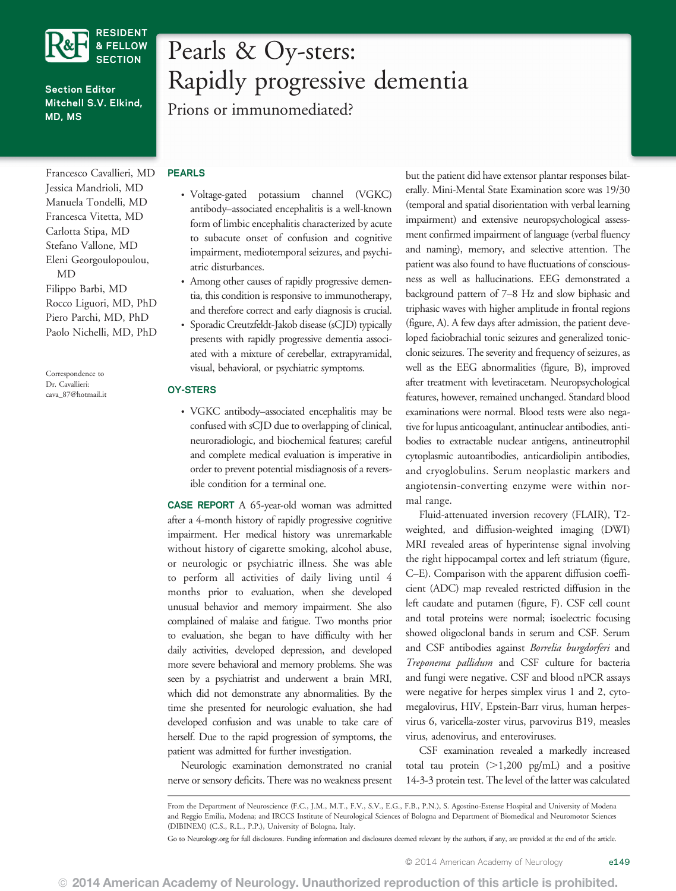

## Section Editor Mitchell S.V. Elkind, MD, MS

Francesco Cavallieri, MD Jessica Mandrioli, MD Manuela Tondelli, MD Francesca Vitetta, MD Carlotta Stipa, MD Stefano Vallone, MD Eleni Georgoulopoulou, MD Filippo Barbi, MD Rocco Liguori, MD, PhD Piero Parchi, MD, PhD Paolo Nichelli, MD, PhD

Correspondence to Dr. Cavallieri: [cava\\_87@hotmail.it](mailto:cava_87@hotmail.it)

# Pearls & Oy-sters: Rapidly progressive dementia

Prions or immunomediated?

## PEARLS

- Voltage-gated potassium channel (VGKC) antibody–associated encephalitis is a well-known form of limbic encephalitis characterized by acute to subacute onset of confusion and cognitive impairment, mediotemporal seizures, and psychiatric disturbances.
- Among other causes of rapidly progressive dementia, this condition is responsive to immunotherapy, and therefore correct and early diagnosis is crucial.
- Sporadic Creutzfeldt-Jakob disease (sCJD) typically presents with rapidly progressive dementia associated with a mixture of cerebellar, extrapyramidal, visual, behavioral, or psychiatric symptoms.

## OY-STERS

• VGKC antibody–associated encephalitis may be confused with sCJD due to overlapping of clinical, neuroradiologic, and biochemical features; careful and complete medical evaluation is imperative in order to prevent potential misdiagnosis of a reversible condition for a terminal one.

CASE REPORT A 65-year-old woman was admitted after a 4-month history of rapidly progressive cognitive impairment. Her medical history was unremarkable without history of cigarette smoking, alcohol abuse, or neurologic or psychiatric illness. She was able to perform all activities of daily living until 4 months prior to evaluation, when she developed unusual behavior and memory impairment. She also complained of malaise and fatigue. Two months prior to evaluation, she began to have difficulty with her daily activities, developed depression, and developed more severe behavioral and memory problems. She was seen by a psychiatrist and underwent a brain MRI, which did not demonstrate any abnormalities. By the time she presented for neurologic evaluation, she had developed confusion and was unable to take care of herself. Due to the rapid progression of symptoms, the patient was admitted for further investigation.

Neurologic examination demonstrated no cranial nerve or sensory deficits. There was no weakness present

but the patient did have extensor plantar responses bilaterally. Mini-Mental State Examination score was 19/30 (temporal and spatial disorientation with verbal learning impairment) and extensive neuropsychological assessment confirmed impairment of language (verbal fluency and naming), memory, and selective attention. The patient was also found to have fluctuations of consciousness as well as hallucinations. EEG demonstrated a background pattern of 7–8 Hz and slow biphasic and triphasic waves with higher amplitude in frontal regions (figure, A). A few days after admission, the patient developed faciobrachial tonic seizures and generalized tonicclonic seizures. The severity and frequency of seizures, as well as the EEG abnormalities (figure, B), improved after treatment with levetiracetam. Neuropsychological features, however, remained unchanged. Standard blood examinations were normal. Blood tests were also negative for lupus anticoagulant, antinuclear antibodies, antibodies to extractable nuclear antigens, antineutrophil cytoplasmic autoantibodies, anticardiolipin antibodies, and cryoglobulins. Serum neoplastic markers and angiotensin-converting enzyme were within normal range.

Fluid-attenuated inversion recovery (FLAIR), T2 weighted, and diffusion-weighted imaging (DWI) MRI revealed areas of hyperintense signal involving the right hippocampal cortex and left striatum (figure, C–E). Comparison with the apparent diffusion coefficient (ADC) map revealed restricted diffusion in the left caudate and putamen (figure, F). CSF cell count and total proteins were normal; isoelectric focusing showed oligoclonal bands in serum and CSF. Serum and CSF antibodies against Borrelia burgdorferi and Treponema pallidum and CSF culture for bacteria and fungi were negative. CSF and blood nPCR assays were negative for herpes simplex virus 1 and 2, cytomegalovirus, HIV, Epstein-Barr virus, human herpesvirus 6, varicella-zoster virus, parvovirus B19, measles virus, adenovirus, and enteroviruses.

CSF examination revealed a markedly increased total tau protein  $(>1,200 \text{ pg/mL})$  and a positive 14-3-3 protein test. The level of the latter was calculated

From the Department of Neuroscience (F.C., J.M., M.T., F.V., S.V., E.G., F.B., P.N.), S. Agostino-Estense Hospital and University of Modena and Reggio Emilia, Modena; and IRCCS Institute of Neurological Sciences of Bologna and Department of Biomedical and Neuromotor Sciences (DIBINEM) (C.S., R.L., P.P.), University of Bologna, Italy.

Go to [Neurology.org](http://neurology.org/) for full disclosures. Funding information and disclosures deemed relevant by the authors, if any, are provided at the end of the article.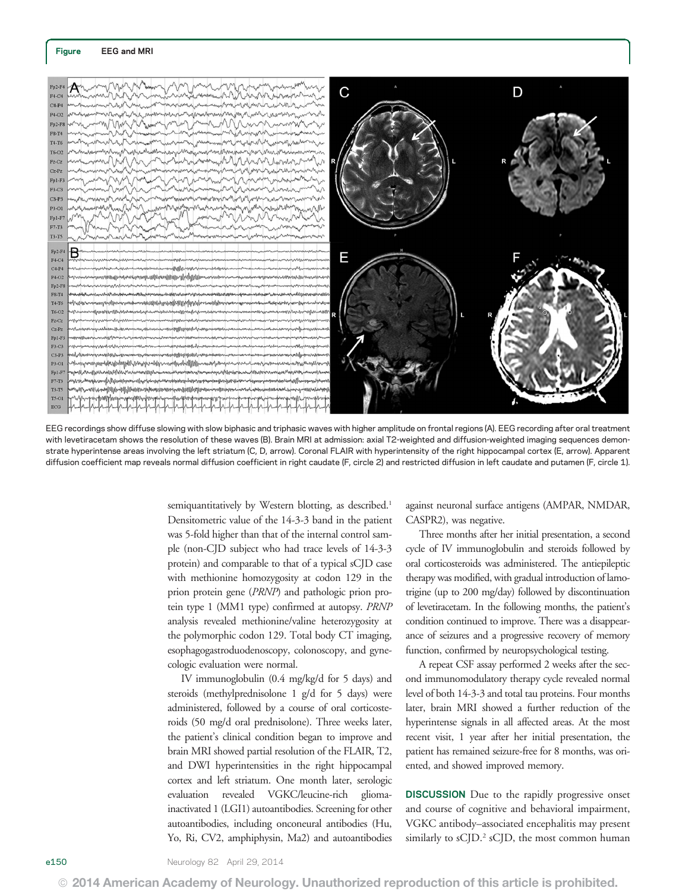

EEG recordings show diffuse slowing with slow biphasic and triphasic waves with higher amplitude on frontal regions (A). EEG recording after oral treatment with levetiracetam shows the resolution of these waves (B). Brain MRI at admission: axial T2-weighted and diffusion-weighted imaging sequences demonstrate hyperintense areas involving the left striatum (C, D, arrow). Coronal FLAIR with hyperintensity of the right hippocampal cortex (E, arrow). Apparent diffusion coefficient map reveals normal diffusion coefficient in right caudate (F, circle 2) and restricted diffusion in left caudate and putamen (F, circle 1).

semiquantitatively by Western blotting, as described.<sup>1</sup> Densitometric value of the 14-3-3 band in the patient was 5-fold higher than that of the internal control sample (non-CJD subject who had trace levels of 14-3-3 protein) and comparable to that of a typical sCJD case with methionine homozygosity at codon 129 in the prion protein gene (PRNP) and pathologic prion protein type 1 (MM1 type) confirmed at autopsy. PRNP analysis revealed methionine/valine heterozygosity at the polymorphic codon 129. Total body CT imaging, esophagogastroduodenoscopy, colonoscopy, and gynecologic evaluation were normal.

IV immunoglobulin (0.4 mg/kg/d for 5 days) and steroids (methylprednisolone 1 g/d for 5 days) were administered, followed by a course of oral corticosteroids (50 mg/d oral prednisolone). Three weeks later, the patient's clinical condition began to improve and brain MRI showed partial resolution of the FLAIR, T2, and DWI hyperintensities in the right hippocampal cortex and left striatum. One month later, serologic evaluation revealed VGKC/leucine-rich gliomainactivated 1 (LGI1) autoantibodies. Screening for other autoantibodies, including onconeural antibodies (Hu, Yo, Ri, CV2, amphiphysin, Ma2) and autoantibodies against neuronal surface antigens (AMPAR, NMDAR, CASPR2), was negative.

Three months after her initial presentation, a second cycle of IV immunoglobulin and steroids followed by oral corticosteroids was administered. The antiepileptic therapy was modified, with gradual introduction of lamotrigine (up to 200 mg/day) followed by discontinuation of levetiracetam. In the following months, the patient's condition continued to improve. There was a disappearance of seizures and a progressive recovery of memory function, confirmed by neuropsychological testing.

A repeat CSF assay performed 2 weeks after the second immunomodulatory therapy cycle revealed normal level of both 14-3-3 and total tau proteins. Four months later, brain MRI showed a further reduction of the hyperintense signals in all affected areas. At the most recent visit, 1 year after her initial presentation, the patient has remained seizure-free for 8 months, was oriented, and showed improved memory.

DISCUSSION Due to the rapidly progressive onset and course of cognitive and behavioral impairment, VGKC antibody–associated encephalitis may present similarly to sCJD.<sup>2</sup> sCJD, the most common human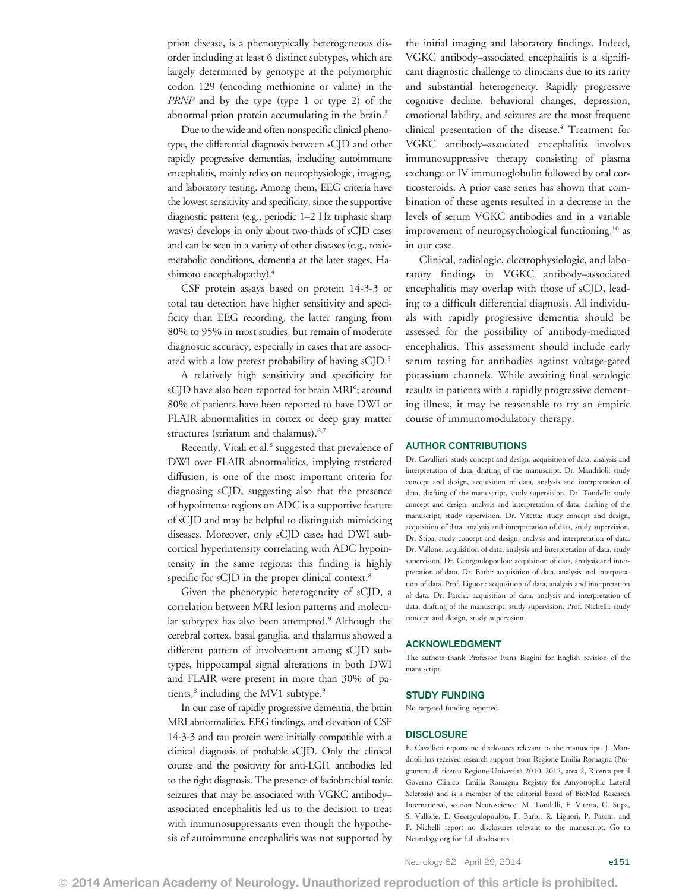prion disease, is a phenotypically heterogeneous disorder including at least 6 distinct subtypes, which are largely determined by genotype at the polymorphic codon 129 (encoding methionine or valine) in the PRNP and by the type (type 1 or type 2) of the abnormal prion protein accumulating in the brain.<sup>3</sup>

Due to the wide and often nonspecific clinical phenotype, the differential diagnosis between sCJD and other rapidly progressive dementias, including autoimmune encephalitis, mainly relies on neurophysiologic, imaging, and laboratory testing. Among them, EEG criteria have the lowest sensitivity and specificity, since the supportive diagnostic pattern (e.g., periodic 1–2 Hz triphasic sharp waves) develops in only about two-thirds of sCJD cases and can be seen in a variety of other diseases (e.g., toxicmetabolic conditions, dementia at the later stages, Hashimoto encephalopathy).<sup>4</sup>

CSF protein assays based on protein 14-3-3 or total tau detection have higher sensitivity and specificity than EEG recording, the latter ranging from 80% to 95% in most studies, but remain of moderate diagnostic accuracy, especially in cases that are associated with a low pretest probability of having sCJD.5

A relatively high sensitivity and specificity for sCJD have also been reported for brain MRI<sup>6</sup>; around 80% of patients have been reported to have DWI or FLAIR abnormalities in cortex or deep gray matter structures (striatum and thalamus).<sup>6,7</sup>

Recently, Vitali et al.<sup>8</sup> suggested that prevalence of DWI over FLAIR abnormalities, implying restricted diffusion, is one of the most important criteria for diagnosing sCJD, suggesting also that the presence of hypointense regions on ADC is a supportive feature of sCJD and may be helpful to distinguish mimicking diseases. Moreover, only sCJD cases had DWI subcortical hyperintensity correlating with ADC hypointensity in the same regions: this finding is highly specific for sCJD in the proper clinical context.<sup>8</sup>

Given the phenotypic heterogeneity of sCJD, a correlation between MRI lesion patterns and molecular subtypes has also been attempted.<sup>9</sup> Although the cerebral cortex, basal ganglia, and thalamus showed a different pattern of involvement among sCJD subtypes, hippocampal signal alterations in both DWI and FLAIR were present in more than 30% of patients,<sup>8</sup> including the MV1 subtype.<sup>9</sup>

In our case of rapidly progressive dementia, the brain MRI abnormalities, EEG findings, and elevation of CSF 14-3-3 and tau protein were initially compatible with a clinical diagnosis of probable sCJD. Only the clinical course and the positivity for anti-LGI1 antibodies led to the right diagnosis. The presence of faciobrachial tonic seizures that may be associated with VGKC antibody– associated encephalitis led us to the decision to treat with immunosuppressants even though the hypothesis of autoimmune encephalitis was not supported by

the initial imaging and laboratory findings. Indeed, VGKC antibody–associated encephalitis is a significant diagnostic challenge to clinicians due to its rarity and substantial heterogeneity. Rapidly progressive cognitive decline, behavioral changes, depression, emotional lability, and seizures are the most frequent clinical presentation of the disease.<sup>4</sup> Treatment for VGKC antibody–associated encephalitis involves immunosuppressive therapy consisting of plasma exchange or IV immunoglobulin followed by oral corticosteroids. A prior case series has shown that combination of these agents resulted in a decrease in the levels of serum VGKC antibodies and in a variable improvement of neuropsychological functioning,<sup>10</sup> as in our case.

Clinical, radiologic, electrophysiologic, and laboratory findings in VGKC antibody–associated encephalitis may overlap with those of sCJD, leading to a difficult differential diagnosis. All individuals with rapidly progressive dementia should be assessed for the possibility of antibody-mediated encephalitis. This assessment should include early serum testing for antibodies against voltage-gated potassium channels. While awaiting final serologic results in patients with a rapidly progressive dementing illness, it may be reasonable to try an empiric course of immunomodulatory therapy.

## AUTHOR CONTRIBUTIONS

Dr. Cavallieri: study concept and design, acquisition of data, analysis and interpretation of data, drafting of the manuscript. Dr. Mandrioli: study concept and design, acquisition of data, analysis and interpretation of data, drafting of the manuscript, study supervision. Dr. Tondelli: study concept and design, analysis and interpretation of data, drafting of the manuscript, study supervision. Dr. Vitetta: study concept and design, acquisition of data, analysis and interpretation of data, study supervision. Dr. Stipa: study concept and design, analysis and interpretation of data. Dr. Vallone: acquisition of data, analysis and interpretation of data, study supervision. Dr. Georgoulopoulou: acquisition of data, analysis and interpretation of data. Dr. Barbi: acquisition of data, analysis and interpretation of data. Prof. Liguori: acquisition of data, analysis and interpretation of data. Dr. Parchi: acquisition of data, analysis and interpretation of data, drafting of the manuscript, study supervision. Prof. Nichelli: study concept and design, study supervision.

#### ACKNOWLEDGMENT

The authors thank Professor Ivana Biagini for English revision of the manuscript.

#### STUDY FUNDING

No targeted funding reported.

#### **DISCLOSURE**

F. Cavallieri reports no disclosures relevant to the manuscript. J. Mandrioli has received research support from Regione Emilia Romagna (Programma di ricerca Regione-Università 2010–2012, area 2, Ricerca per il Governo Clinico; Emilia Romagna Registry for Amyotrophic Lateral Sclerosis) and is a member of the editorial board of BioMed Research International, section Neuroscience. M. Tondelli, F. Vitetta, C. Stipa, S. Vallone, E. Georgoulopoulou, F. Barbi, R. Liguori, P. Parchi, and P. Nichelli report no disclosures relevant to the manuscript. Go to [Neurology.org](http://neurology.org/) for full disclosures.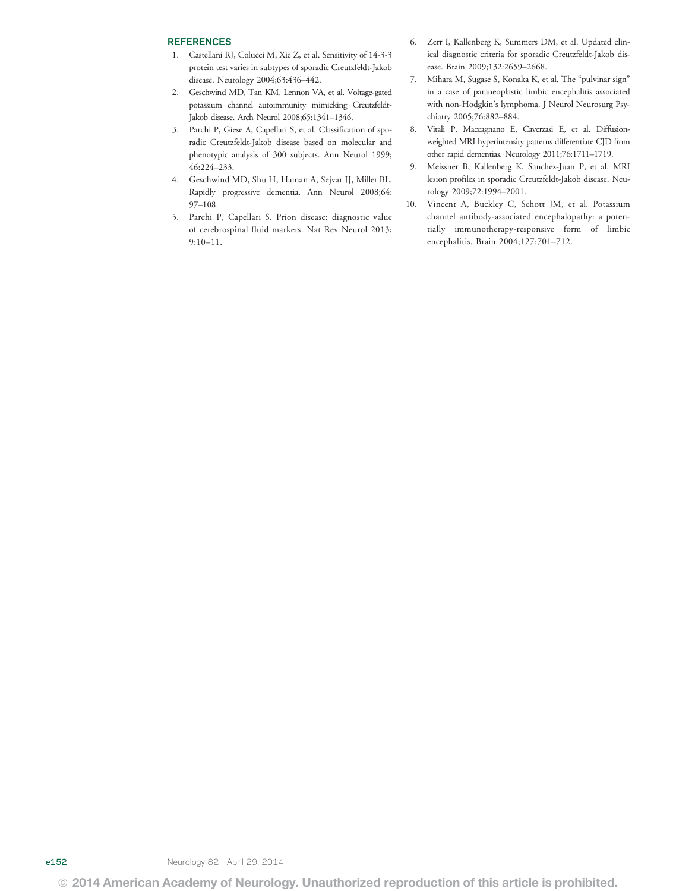### **REFERENCES**

- 1. Castellani RJ, Colucci M, Xie Z, et al. Sensitivity of 14-3-3 protein test varies in subtypes of sporadic Creutzfeldt-Jakob disease. Neurology 2004;63:436–442.
- 2. Geschwind MD, Tan KM, Lennon VA, et al. Voltage-gated potassium channel autoimmunity mimicking Creutzfeldt-Jakob disease. Arch Neurol 2008;65:1341–1346.
- 3. Parchi P, Giese A, Capellari S, et al. Classification of sporadic Creutzfeldt-Jakob disease based on molecular and phenotypic analysis of 300 subjects. Ann Neurol 1999; 46:224–233.
- 4. Geschwind MD, Shu H, Haman A, Sejvar JJ, Miller BL. Rapidly progressive dementia. Ann Neurol 2008;64: 97–108.
- 5. Parchi P, Capellari S. Prion disease: diagnostic value of cerebrospinal fluid markers. Nat Rev Neurol 2013; 9:10–11.
- 6. Zerr I, Kallenberg K, Summers DM, et al. Updated clinical diagnostic criteria for sporadic Creutzfeldt-Jakob disease. Brain 2009;132:2659–2668.
- 7. Mihara M, Sugase S, Konaka K, et al. The "pulvinar sign" in a case of paraneoplastic limbic encephalitis associated with non-Hodgkin's lymphoma. J Neurol Neurosurg Psychiatry 2005;76:882–884.
- 8. Vitali P, Maccagnano E, Caverzasi E, et al. Diffusionweighted MRI hyperintensity patterns differentiate CJD from other rapid dementias. Neurology 2011;76:1711–1719.
- 9. Meissner B, Kallenberg K, Sanchez-Juan P, et al. MRI lesion profiles in sporadic Creutzfeldt-Jakob disease. Neurology 2009;72:1994–2001.
- 10. Vincent A, Buckley C, Schott JM, et al. Potassium channel antibody-associated encephalopathy: a potentially immunotherapy-responsive form of limbic encephalitis. Brain 2004;127:701–712.

e152 Neurology 82 April 29, 2014